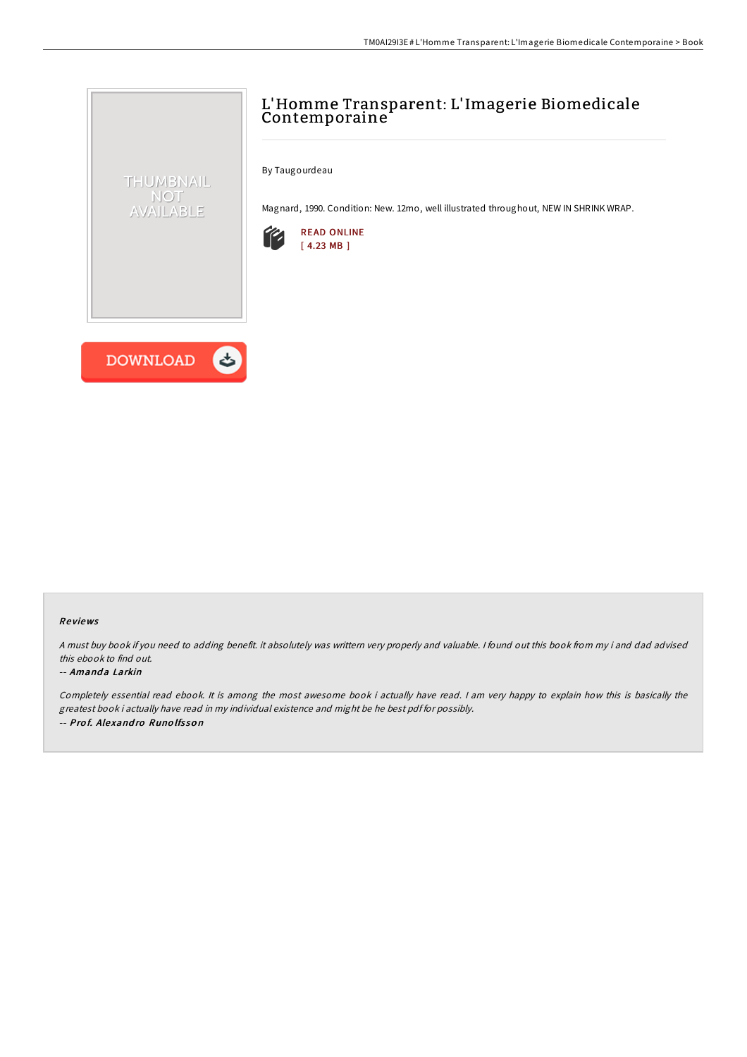# L'Homme Transparent: L'Imagerie Biomedicale Contemporaine

By Taugourdeau

Magnard, 1990. Condition: New. 12mo, well illustrated throughout, NEW IN SHRINK WRAP.





THUMBNAIL NOT AVAILABLE

### Re views

<sup>A</sup> must buy book if you need to adding benefit. it absolutely was writtern very properly and valuable. <sup>I</sup> found out this book from my i and dad advised this ebook to find out.

#### -- Amanda Larkin

Completely essential read ebook. It is among the most awesome book i actually have read. I am very happy to explain how this is basically the greatest book i actually have read in my individual existence and might be he best pdf for possibly. -- Prof. Alexandro Runolfsson